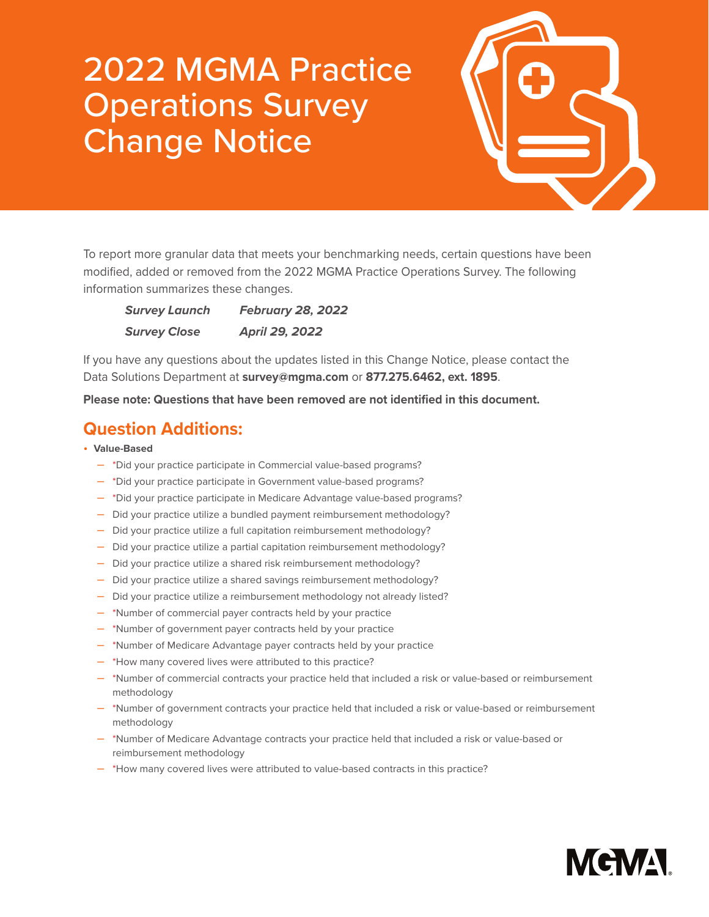## 2022 MGMA Practice Operations Survey Change Notice



To report more granular data that meets your benchmarking needs, certain questions have been modified, added or removed from the 2022 MGMA Practice Operations Survey. The following information summarizes these changes.

| <b>Survey Launch</b> | <b>February 28, 2022</b> |
|----------------------|--------------------------|
| <b>Survey Close</b>  | April 29, 2022           |

If you have any questions about the updates listed in this Change Notice, please contact the Data Solutions Department at **[survey@mgma.com](mailto:survey%40mgma.com?subject=)** or **877.275.6462, ext. 1895**.

**Please note: Questions that have been removed are not identified in this document.**

## **Question Additions:**

- **Value-Based**
	- \*Did your practice participate in Commercial value-based programs?
	- \*Did your practice participate in Government value-based programs?
	- \*Did your practice participate in Medicare Advantage value-based programs?
	- Did your practice utilize a bundled payment reimbursement methodology?
	- Did your practice utilize a full capitation reimbursement methodology?
	- Did your practice utilize a partial capitation reimbursement methodology?
	- Did your practice utilize a shared risk reimbursement methodology?
	- Did your practice utilize a shared savings reimbursement methodology?
	- Did your practice utilize a reimbursement methodology not already listed?
	- \*Number of commercial payer contracts held by your practice
	- \*Number of government payer contracts held by your practice
	- \*Number of Medicare Advantage payer contracts held by your practice
	- \*How many covered lives were attributed to this practice?
	- \*Number of commercial contracts your practice held that included a risk or value-based or reimbursement methodology
	- \*Number of government contracts your practice held that included a risk or value-based or reimbursement methodology
	- \*Number of Medicare Advantage contracts your practice held that included a risk or value-based or reimbursement methodology
	- \*How many covered lives were attributed to value-based contracts in this practice?